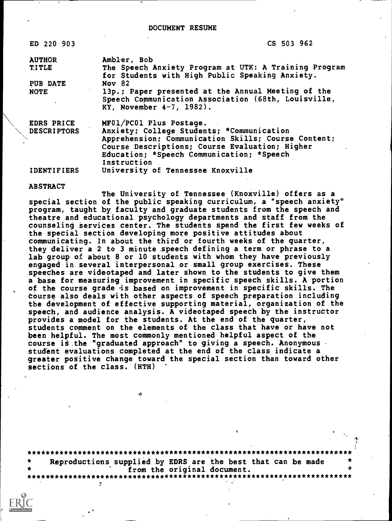ED 220 903 CS 503 962

AUTHOR Ambler, Bob TITLE The Speech Anxiety Program at UTK: A Training Program for Students with High Public Speaking Anxiety. PUB DATE Nov 82 NOTE 13p.; Paper presented at the Annual Meeting of the Speech Communication Association (68th, Louisville, KY, November 4-7, 1982). EDRS PRICE MF01/PC01 Plus Postage. \\ DESCRIPTORS Anxiety; College Students; \*Communication Apprehension; Communication Skills; Course Content; Course Descriptions; Course Evaluation; Higher

Education; \*Speech Communication; \*Speech

Instruction IDENTIFIERS University of Tennessee Knoxville

ABSTRACT

The University of Tennessee (Knoxville) offers as a special section of the public speaking curriculum, a "speech anxiety" program, taught by faculty and graduate students from the speech and theatre and educational psychology departments and staff from the counseling services center. The students spend the first few weeks of the special section developing more positive attitudes about communicating. In about the third or fourth weeks of the quarter, they deliver a 2 to 3 minute speech defining a term or phrase to a lab group of about 8 or 10 students with whom they have previously engaged in several interpersonal or small group exercises. These speeches are videotaped and later shown to the students to give them a base for measuring improvement in specific speech skills. A portion of the course grade is based on improvement in specific skills. The Course also deals with other aspects of speech preparation including the development of effective supporting material, organization of the speech, and audience analysis. A videotaped speech by the instructor provides a model for the students. At the end of the quarter, students comment on the elements of the class that have or have not been helpful. The most commonly mentioned helpful aspect of the course is the "graduated approach" to giving a speech. Anonymous student evaluations completed at the end of the class indicate a greater positive change toward the special section than toward other sections of the class. (HTH)

\*\*\*\*\*\*\*\*\*\*\*\*\*\*\*\*\*\*\*\*\*\*\*\*\*\*\*\*\*\*\*\*\*\*\*\*\*\*\*\*\*\*\*\*\*\*\*\*\*\*\*\*\*\*\*\*\*\*\*\*\*\*\*\*\*\*\*\*\*\*\* Reproductions supplied by EDRS are the best that can be made<br>from the original document. from the original document. \*\*\*\*\*\*\*\*\*\*\*\*\*\*\*\*\*\*\*\*\*\*\*\*\*\*\*\*\*\*\*\*\*\*\*\*\*\*\*\*\*\*\*\*\*\*\*\*\*\*\*\*\*\*\*\*\*\*\*\*\*\*\*\*\*\*\*\*\*\*\*

ó

 $\mathbf{r}$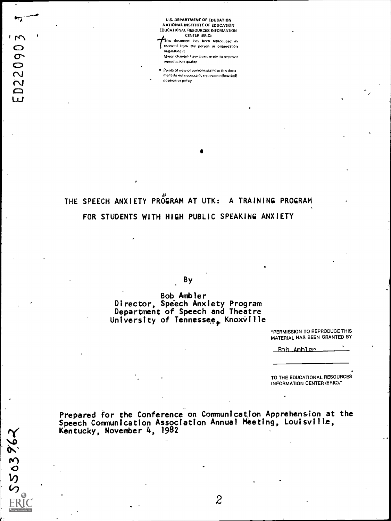U.S. DEPARTMENT OF EDUCATION NATIONAL INSTITUTE OF EDUCATION EDUCATIONAL RESOURCES INFORMATION CENTER IERICI

This document has been reproduced as received from the person or organization onginating it

r version of the state of the state of the state of the state of the state of the state of the state of the state of the state of the state of the state of the state of the state of the state of the state of the state of t  $\bullet$  and  $\bullet$ 

 $\Box$  $\mathbf{L}$ 

550396.

 $\bullet$  and  $\bullet$  $\mathbf{v}$ 

Minor changes have been made to improve teproduction against

**.** Points of view or opinions stated in this document do not necessarily represent official NIE posrbon or noficy

## THE SPEECH ANXIETY PROGRAM AT UTK: A TRAINING PROGRAM FOR STUDENTS WITH HIGH PUBLIC SPEAKING ANXIETY

By

Bob Ambler Director, Speech Anxiety Program Department of Speech and Theatre University of Tennessee<sub>r</sub> Knoxville

> "PERMISSION TO REPRODUCE THIS MATERIAL HAS BEEN GRANTED BY

Rob Ambler

TO THE EDUCATIONAL RESOURCES INFORMATION CENTER (ERIC)."

Prepared for the Conference on Communication Apprehension at the Speech Communication Association Annual Meeting, Louisville, Kentucky, November 4, 1982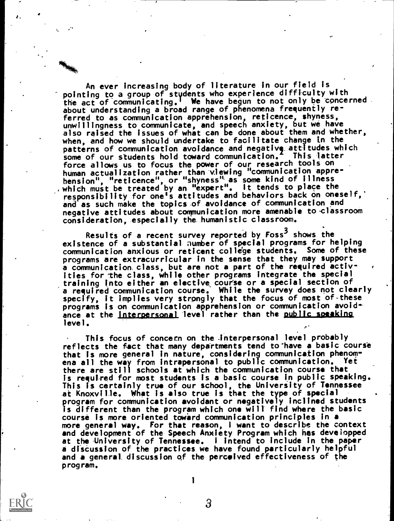An ever increasing body of literature in our field is pointing to a group of stydents who experience difftculty with the act of communicating.' We have begun to not only be concerned about understanding a broad range of phenomena frequently referred to as communication apprehension, reticence, shyness, unwillingness to communicate, and speech anxiety, but we have also raised the issues of what can be done about them and whether, when, and how we should undertake to facilitate change in the patterns of communication avoidance and negative attitudes which  $\qquad \qquad \mid$ some of our students hold-toward communication.' This latter force allows us to focus the power of our research tools on human actualization rather than viewing "communication apprehension", "reticence" or "shyness'' as some kind of illness , which must be treated by an "expert". It tends to place the responsibility for one's attitudes and behaviors back on oneself,' and as such make the topics of avoidance of communication and negative attitudes about communication more amenable to classroom constderation,\_especially the\_humantstic classroom.

Results of a recent survey reported by Foss<sup>3</sup> shows the existence of a substantial aumber of special programs for helping communication anxious or reticent college students. Some of these programs are extracurricular in the sense that they may support a communication.class, but are not a part of the required activities for 'the class, while other programs integrate the special training into either an elective course or a special section of a required communication course. While the survey does not clearly specify, it implies very strongly that the focus of most of-these programs is on communication apprehension or communication avoidance at the interpersonal level rather than the public speaking level.

This focus of concern on the Interpersonal level probably reflects the fact that many departments tend to have a basic course that Is more general in nature, considering communication phenomena all the way from intrapersonal to public communication. Yet there are still schools at which the communication course that is required for most students is a basic course in public speaking. This is certainly true of our school, the University of Tennessee at Knoxville. What is also true is that the type of spectal program for communication avoidant or negatively inclined students is different than the program which one will find where the basic course is more oriented toward communication principles in a more general way. For that reason, I want to describe the context and development of the Speech Anxiety Program which hes developped at the University of Tennessee. I intend to include in the paper a discussion of the practices we have found particularly helpful and a general discussion qf the-perceived effectiveness of the program.

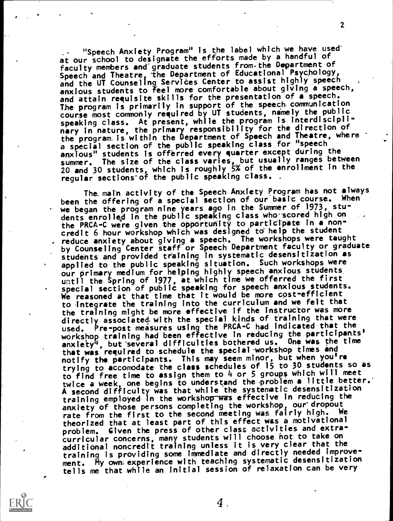"Speech Anxiety Program" Is the label which we have used' at our school to designate the efforts made by a handful of faculty members and'graduate students from.the Department of Speech and Theatre, the Department of Educational Psychology, and the UT Counseling Services Center to assist highly speech and the UT Counseling Services Center anxious students to feel more comfortable about giving a speech, and attain requisite skills for the presentation of a speech. The program is primarily in support of the speech communication course most commonly required by UT students, namely the public speaking class. At present, while the program is interdisciplinary in nature, the primary responsibility for the direction of the program is within the Department of Speech and Theatre, where  $\begin{bmatrix} \cdot & \cdot \\ \cdot & \cdot \end{bmatrix}$ a special section of the public speaking class for "speech anxious" students is offerred every quarter except during the summer. The size of the class varies, but usually ranges between 20 and 30 students, which is roughly 5% of the enrollment in the regular sections of the public speaking class. .

2

The main activity of the Speech Anxiety Program has not always been the offering of a special section of our basic course. When we began the program nine years ago in the Summer of 1973, students enrolled in the public speaking class who scored high on the PRCA-C were given the opportunity to participate in a noncredit 6 hour workshop which was designed to help the student reduce anxiety about giving a speech. The workshops were taught by Counseling Center staff or Speech Department faculty or graduate students and provided training in systematic desensitization as applied to the public speaking situation. Such workshops were .our primary medium for helping highly speech anxious students until the Spring of 1977, at which time we offerred the first special section of public speaking for speech anxious students. We reasoned at that time that it would be more cost-efficient to integrate fhe training into the curriculum and we felt that the training might be more effective if the instructor was more directly associated, with the special kinds of training that were used. Pre-post measures using the PRCA-C had indicated that the workshop training had been effective in reducing the participants'<br>anxiety<sup>4</sup>, but several difficulties bothered us. One was the time <sup>1</sup>, but several difficulties bothered us. One was the time that was required to schedule the special-workshop times and notify the participants. This may seem minor, but when you're trying to accomodate the class schedules of 15 to 30 students so as to find free time to assign them to 4 or 5 groups which will meet twice a week, one begins to understand the problem a little better. A second difficulty was that while the systematic desensitization training employed in the workshop was effective in reducing the anxiety of those persons completing the workshop, our dropout rate from the first to the second meeting was fairly high. We theorized that at least part of this effect was a motivational problem. Given the press of other class activities and extracurricular concerns, many students will choose hot to take on additional noncredit training unless it is very clear that the training is providing some immediate and directly needed improvement. My own experience with teaching systematic desensitization tells me that while an initial session of relaxation can be very

 $\boldsymbol{4}$  .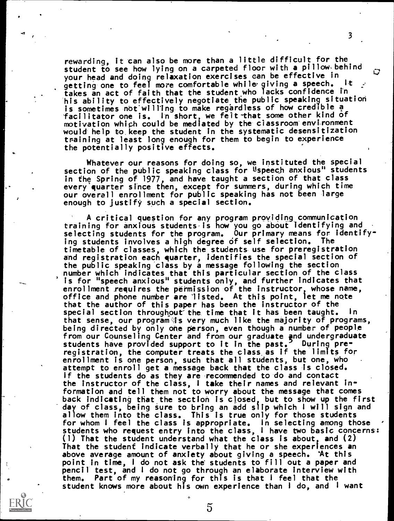rewarding, it can also be more than a little difficult for the student to see how lying on a carpeted floor with a pillow behind your head and doing relaxation exercises can be effective in<br>cetting one to feel moze confortable while giving a speech. It getting one to feel more comfortable while giving a speech. takes an act of faith that the student who lacks confidence in his ability to effectively negotiate the public speaking situation is sometimes not willing to make regardless of how credible a facilitator one is. In short, we felt that some other kind of motivation which could be mediated by the ciassroom environment would help to keep the student in the systematic desensitization training at least long enough for them to begin to experience the potentially positive effects.

Whatever our reasons for doing so, we instituted the special section of the public speaking class for Uspeech anxious" students in the Spring of 1977, and have taught a section of that class every quarter since then, except for summers, during which time our overall enrollment for public speaking has not been large enough to justify such a special section.

A critical question for any program providing communication training for anxious students.is how you go about identifying and selecting students for the program. Our primary means for identifying students involves a high degree of self selection. The timetable of classes, which the students use for preregistration and registration each quarter, identifies the special section of the public speaking class by a message following the section number which indicates that this particular section of the class is for "speech anxious" students only, and further indicates that enrollment requires the permission of the instructor, whose name,  $\qquad \qquad \bullet$ office and phone number are listed. At this point, let me note that the author of this paper has been the instructor of the special section throughout the time that it has been taught. In that sense, our program-is very much like the majority of programs, being directed by only one person, even though a number of people from our Counseling Center and from our graduate and undergraduate the proof students have provided support to it in the past. During preregistration, the computer treats the class as if the limits for enrollment is one person, such that all students, but one, who attempt to enroll get a message back that the class is closed. If the students do as they are recommended to do and contact the instructor of the class, <sup>I</sup> take their names and relevant information and tell them not to worry about the message that comes back indicating that the section is closed, but to show up the first day of class, being Sure to bring an add slip which <sup>I</sup> will sign and allow them into the class. This is true only for those students for whom  ${\mathsf I}$  feel the class is appropriate. In selecting among those  $|\cdot|$ students who request entry into the class, <sup>I</sup> have two basic concerns: (1) That the student understand what the class is about, and (2) That the student indicate verbally that he or she experiences an above average amount of anxiety about giving a speech. At this point in time, <sup>I</sup> do not ask the students to fill out a paper and pencil test, and <sup>I</sup> do not go through an elaborate interview with them. Part of my reasoning for this is that <sup>I</sup> feel that the student knows more about his own experience than <sup>I</sup> do, and <sup>I</sup> want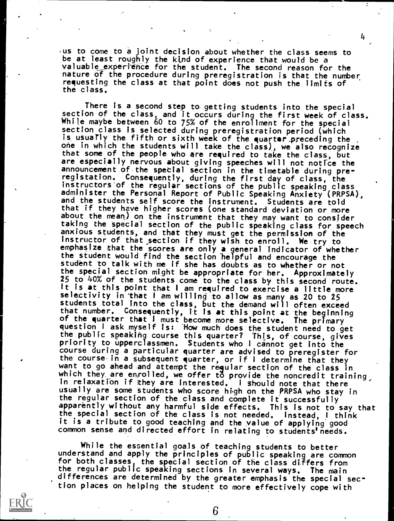aus to come to a joint decision about whether the class seems to be at least roughly the kind of experience that would be a valuable experience for the student. The second reason for the nature of the procedure during preregistration is that the number, requesting the class at that point does not push the limits of the class.

There is a second step to getting students into the special section of the class, and it occurs during the first week of class. While maybe between 60 to 75% of the enrollment for the special section class is selected during preregistration period (which is usuarly the fifth or sixth week of the quarter preceding the , one in which the students will take the class), we also recognize that some of the people who are required to take the class, but are especially nervous about giving speeches will not notice the announcement of the spetial section in the timetable during preregistation. Consequently, during the first day of class, the instructors'of the regular sections of the public speaking class administer the Personal Report of Public Speaking Anxiety (PRPSA), and the students self score the instrument. Students are told that if they have higher scores (one standard deviation or more about the mean) on the instrument that they may want to consider taking the special section of the public speaking class for speech anxious students, and that they must get the permission of the instructor of that\_section if they wish to enroll. We try to emphasize that the scores are only a general indicator of whether the student would find the section helpful and encourage the student to talk with me if she has doubts as to whether or not the special section might be appropriate for her. Approximately 25 to 40% of the students come to the class by this second route. It is at this point that <sup>I</sup> am required to exercise a little more selectivity in that I am willing to allow as many as 20 to 25 students total into the class, but the demand will often exceed that number. Consequently, it Is at this point at the beginning of the quarter that I must become more selective. The primary question <sup>I</sup> ask myself is: How much does the student need to get the public speaking course this quarter? This, of course, gives priority to upperclassmen. Students who I cannot get into the course during a particular quarter are advised to preregister for the course-in a subsequent quarter, or if <sup>I</sup> determine that they want to go ahead amd attempt the regular section of the class in which they, are enrolled, we offer to provide the noncredit training, in relaxation if they are interested. <sup>I</sup> should note that there usually are some students who score high on the PRPSA who stay in the regular section of the class and complete it successfully apparently without any harmful side effects. This is not to say that the special section of the class is not needed. Instead, <sup>I</sup> think it is a tribute to good teaching and the value of applying good common sense and directed effort in relating to students'needs.

While the essential goals of teaching students to better understand and apply the principles of public speaking are common for both classes, the special section of the class differs from  $\qquad \qquad \mid$ the regular public speaking sections in several ways. The main differences are determined by the greater emphasis the special section places on helping the student to more effectively cope with

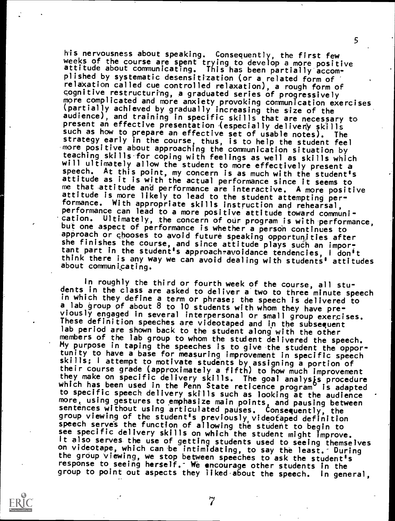his nervousness about speaking. Consequently, the first few weeks of the course are spent trying to develop a more positive attitude about communicating. This has been partially accomplished by systematic desensitization (or a related form of relaxation called cue controlled relaxation), a rough form of cognitive restructuring, a graduated series of progressively more complicated and more anxiety provoking communication exercises<br>(partially achieved by gradually increasing the size of the audience), and training in specific skills that are necessary to present an effective presentation (especially deliverly skills such as how to prepare an effective set of usable notes). The strategy early in the course, thus, is to help the student feel more positive about approaching the communication situation by teaching skills-for coping with feelings as well as skills which will ultimately allow the student to more effectively present a speech. At this point, my concern is as much with the students At this point, my concern is as much with the student's attitude as it is with the actual performance since it seems to<br>me that attitude and performance are interactive. A more positive me that attitude and performance are interactive. attitude is more likely to lead to the student attempting per-<br>formance. With appropriate skills instruction and rehearsal, performance can lead to a more positive attitude toward communi--cation. Ultimately, the concern of our program is with performance, but one aspect of performance is whether a persoh continues to approach or chooses to avoid future speaking opportunities after<br>she finishes the course, and since attitude plays such an important part in the student's approach-avoidance tendencies, I don't<br>think there is any way we can avoid dealing with students' attitudes about communicating.

5

In roughly the third or fourth week of the course, all students in the class are asked to deliver a two to three minute speech in which they define a term or phrase; the speech is delivered to a lab group of about 8 to 10 students with whom they have pre-<br>viously engaged in several interpersonal or small group exercises. These definition speeches are videotaped and in the subsequent lab period are shown back to the student along with the other members of the lab group to whom the student delivered the speech. My purpose in taping the speeches is to give the student the opportunity to have a base for measuring improvement in specific speech skills; <sup>I</sup> attempt to motivate students by assigning a portion of their course grade (approximately a fifth) to how much improvement they make on specific delivery skills. The goal analysis procedure<br>which has been used in the Penn State reticence program is adapted to specific speech delivery skills such as looking at the audience more, using gestures to emphasize main points, and pausing between sentences without using articulated pauses. Consequently, the group viewing of the student's previously,videofaped definition speech serves the function of allowing the student to begin to see specific delivery skills on which the student might improve. It also serves the use of getting students used to seeing themselves on videotape, which can be intimidating, to say the least. During the group viewing, we stop between speeches to ask the student's response to seeing herself. We encourage other students in the group to point out aspects they liked about the speech. In general,

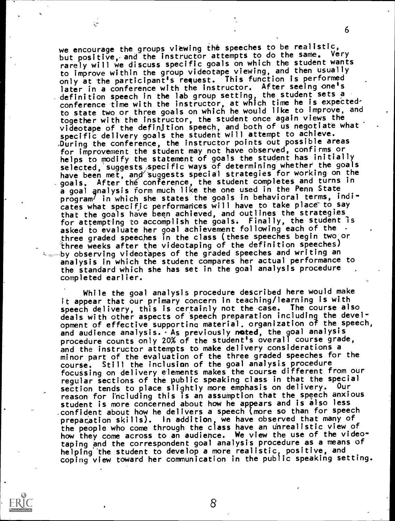we encourage the groups viewing the speeches to be realistic, but positive, and the instructor attempts to do the same. Very rarely will we discuss specific goals on which the student wants to improve within the group videotape viewing, and then usually only at the participant's request. This function is performed later in a conference with the instructor. After seeing one's definition speech in the lab group setting, the student sets a conference time with the instructor, at which time he is expectedto state tmo or three goals on which he would like to improve, and together with the instructor, the student once again views the videotape of the definition speech, and both of us negotiate what specific delivery goals the student will attempt to achieve. ,During the conference, the instructor points out possible areas for improvement the student may not have observed, confirms or helps to modify the statement of goals the student has initially selected, suggests specific ways of determining whether the goals have been met, and suggests special strategies for working on the goals. After the conference, the student completes and turns in a goal analysis form much like the one used in the Penn State program<sup>/</sup> in which she states the goals in behavioral terms, indicates what specific performances will have to take place to say that the goals have been achieved, and outlines the strategies for attempting to accomplish the goals. Finally, the student is asked to evaluate her goal achievement following each of the three graded speeches in the class (these speeches begin two or three weeks after the videotaping of the definition speeches) by observing videotapes of the graded speeches and writing an analysis in which the student compares her actual performance to the standard which she has set in the goal analysis procedure completed earlier.

٤ŗ

While the goal analysis procedure described here would make it appear that our primary concern in teaching/learning is with speech delivery, this is certainly not the case. The course also deals with other aspects of speech preparation including the development of effective supporting material, organization of the speech, and audience analysis. As previously noted, the goal analysis procedure counts only 20% of the student's overall course grade, and the instructor attempts to make delivery considerations a minor part of the evaluation of the three graded speeches for the course. Still the inclusion of the goal analysis procedure focussing on delivery elements makes the course different from our regular sections of the public speaking class in that the special<br>section tends to place slightly more emphasis on delivery. Our section tends to place slightly more emphasis on delivery. reason for including this is an assumption that the speech anxious student is more concerned about how he appears and is also less confident about how he delivers a speech (more so than for speech preparation skills). In addition, we have observed that many of the people who come through the class have an Unrealistic view of how they come across to an audience. We view the use of the videotaping and the correspondent goal analysis procedure as a means of helping the student to develop a more realistic, positive, and coping view toward her communication in the public speaking setting.



6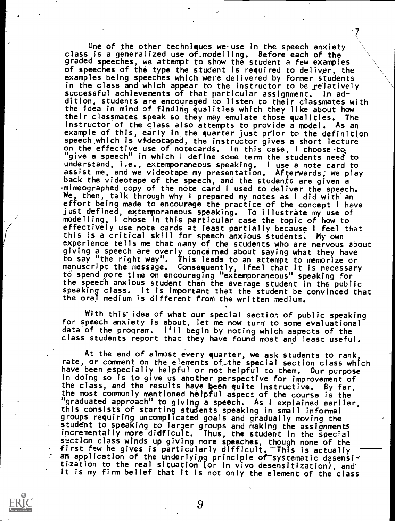One of the other techniques we use in the speech anxiety class Is a generalized use of.modelling. Before each of the graded speeches, we attempt to show the student a few examples of speeches of the type the student is required to deliver, the examples being speeches which were delivered by former students in the class and which appear to the instructor to be relatively  $s$ uccessful achievements of that particular assignment. In addition, students are encouraged to listen to their classmates with the idea in mind of finding qualities which they like about how<br>their classmates speak so they may emulate those qualities. The their classmates speak so they may emulate those qualities. instructor of the class also attempts to provide a model. As an example of this, early in the quarter just prior to the definition speech which is videotaped, the instructor gives a short lecture on the effective use of notecards. In this case, I choose  $t_{\mathbf{Q}_j}$ "give a speech" in which <sup>I</sup> define some term the students need to understand, i.e., extemporaneous speaking. <sup>I</sup> use a note card to assist me, and we videotape my presentation. Afterwards, we play back the videotape of the speech, and the students are given a .mimeographed copy of the note card <sup>I</sup> used to deliver the speech. We, then, talk through why <sup>I</sup> prepared my notes as <sup>I</sup> did with an effort being made to encourage the practice of the concept <sup>I</sup> have just defined, extemporaneous speaking. To illustrate my use of modelling, <sup>I</sup> chose in this particular case the topic of how to effectively use note cards at least partially because I feel that<br>this is a critical skill for speech anxious students. My own this is a critical skill for speech anxious students. experience tells me that many of the students who are nervous about giving a speech are overly concerned about saying what they have to say "the right way". This leads to an attempt to memorize or manuscript the message. Consequently, Ifeel that it is necessary to spend pore time on encouraging "extemporaneous" speaking for the speech anxious student than the average student in the public speaking class. It is important that the student be convinced that the oral medium is different from the written medium.

With this idea of what our special section of public speaking for speech anxiety is about, let me now turn to some evaluational data'of the program. I'll begin by noting which aspects of the class students report that they have found most and least useful.

At the end of almost every quarter, we ask students to rank, rate, or comment on the elements of the special section class which have been especially helpful or not helpful to them. Our purpose in doing so is to give us another perspective for improvement of the class, and the results have been quite instructive. By far,<br>the most commonly mentioned helpful aspect of the course is the "graduated approach" to giving a speech. As I explained earlier, this consists of starting students speaking in small informal groups requiring uncomplicated goals and gradually moving the student to speaking to larger groups and making the assignments incrementally more didficult. Thus, the student In the special section class winds up giving more speeches, though none of the first few he gives is particularly difficult.  $-$ This is actually an application of the underlying principle of systematic desensitization to the real situation (or in vivo desensitization), and it is my firm belief that it is not only the element of the class

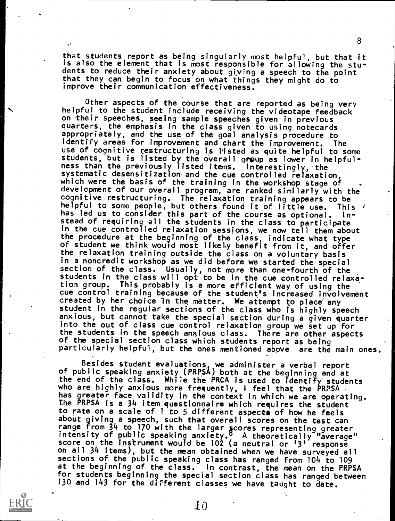that students report as being singularly most helpful, but that it is also the element that is most responsible for allowing the students to reduce their anxiety about giving a speech to the point that they can begin to focus on what things they might do to improve their communication effectiveness.

8

Other aspects of the course that are reported as being very helpful to the student include receiving the videotape feedback on their speeches, seeing sample speeches given in previous quarters, the emphasis in the class given to using notecards appropriately, and the use of the goal analysis procedure to identify areas for improvement and chart the improvement. The use of cognitive restructuring is listed as quite helpful to some students, but is listed by the overall group as lower in helpfulness than the previously listed items. Interestingly, the systematic desensitization and the cue controlled relaxation, which were the basis of the training in the workshop stage of development of our overall program, are ranked similarly with the cognitive restructuring. The relaxation training appears to be The relaxation training appears to be helpful to some people, but others found it of little use. This '<br>has led us to consider this part of the course as optional. Inhas led us to consider this part of the course as optional. stead of requiring all the students in the class to participate in the cue controlled relaxation sessions, we now tell them about the procedure at the beginning of the class, indicate what type of student we think would most likeLy benefit from it, and offer the relaxation training outside the class on a voluntary basis in a noncredit workshop as we did before we started the special section of the class. Usually, not more than one-fourth of the students in the class will opt to be in the cue controlled relaxa-<br>tion group. This probably is a more efficient way of using the This probably is a more efficient way of using the cue control training because of the student's increased involvement created by her choice in the matter. We attempt to place any student in the regular sections of the class who Is highly speech anxious, but cannot take the special section during a given quarter into the out of class cue control relaxation group we set up for the students in the speech anxious class. There are other aspects of the special section class which students report as being particularly helpful, but the ones mentioned above are the main ones.

Besides student evaluations, we administer a verbal report of public speaking anxiety (PRpSA) both at the be9inning and at the end of the class. While the PRCA is used to identify students who are highly anxious more frequently, I feel that the PRPSA has greater face validity in the context in which we are operating. The PRPSA is a 34 item questionnaire which requires the student to rate on a scale of <sup>1</sup> to 5 different aspects of how he feels about giving a speech, such that overall scores on the test can range from 34 to 170 with the larger gcores representing greater intensity of public speaking anxiety.° A theoretically "average" score on the instrument would be 102 (a neutral or '3' response on all 34 items), but the mean obtained when we have surveyed all sections of the public speaking class has ranged from 104 to 109 at the beginning of the class. In contrast, the mean on the PRPSA for students beginning the special section class has ranged between 130 and 143 for the different classes we have taught to date.

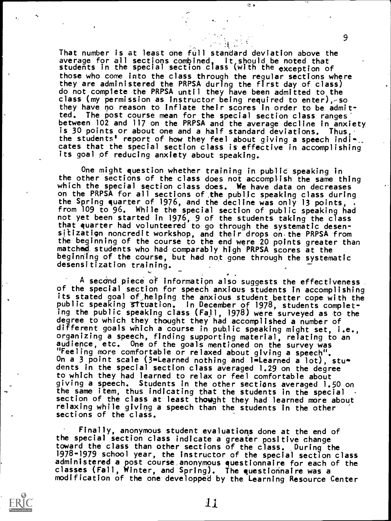That number is at least one full standard deviation above the average for all sections combined. It should be noted that students in the special section class (with the exception of those who come into the class through the regular sections where they are administered the PRPSA during the first day of class) do not complete the PRPSA until they have been admitted to the class (my permission as instructor being required to enter),-so they have no reason to inflate their scores in order to be admitted. The post course mean for the special section class ranges' between 102 and 117 on the PRPSA and the average decline in anxiety is 30 points or about one and a half standard deviations. Thus, the students<sup>1</sup> report of how they feel about giving a speech indi-.. cates that the special section class is effective in accomplishing its goal of reducing anxiety about speaking.

 $\approx$  .

One might question whether training in public speaking in the other sections of the class does not accomplish the same thing which the special section class does. We have data on decreases on the PRPSA for all sections of the public speaking class during<br>the Spring quarter of 1976, and the decline was only 13 points, from 109 to 96. While the special section of public speaking had not yet been started in 1976, 9 of the students taking the class that quarter had volunteered to go through the systematic desensitizatign noncredit workshop, and their drops on-the PRPSA from the beginning of the course to the end were 20 points greater than matched students who had comparably high PRPSA scores at the beginning of the course, but had not gone through the systematic desensitization training.

A second piece of information also suggests the effectiveness. of the special section for speech anxious students in accomplishing its stated goal of helping the anxious student better cope with the public speaking 3Ituation. In December of 1978, students completing the public speaking class (Fall, 1978) were surveyed as to the degree to which they thought they had accomplished a number of different goals which a course in public speaking might set, i.e., organizing a speech, finding supporting material, relating to an audience, etc. One of the goals mentioned on the survey was "Feeling more comfortable or relaxed about giving a speech". On a 3 point scale (3-Learned nothing and li-Learned a lot), students in the special section class averaged 1.29 on the degree to which they had learned to relax or feel comfortable about giving a speech. Students in the other sections averaged 1.50 on<br>the same item, thus indicating that the students in the special section of the class at least thought they had learned more about relaxing while giving a speech than the students in the other sections of the class.

Finally, anonymous student evaluations done at the end of the special section class indicate a greater positive change toward the class than other sections of the class. During the 1978-1979 school year, the instructor of the special section class administered a post course\_anonymous questionnaire for each of the classes (Fall, Winter, and Spring). The questionnaire was a modification of the one developped by the Learning Resource Center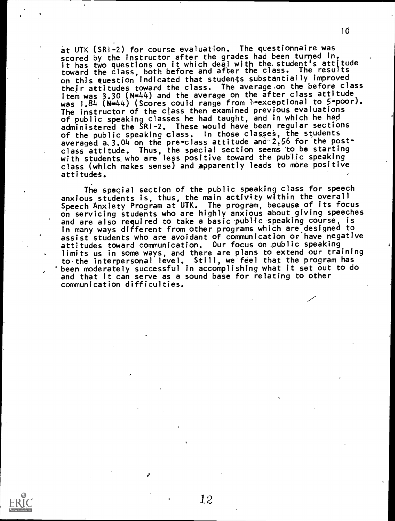at UTK (SRI-2) for course evaluation. The questionnaire was scored by the instructor after the grades had been turned in. It has two questions on it which deal with the.student's attitude toward the class, both before and after the class. The results on this question indicated that students substantially improved their attitudes toward the class. The average.on the before class item was  $3.30$  (N=44) and the average on the after class attitude was 1.84 (N=44) (Scores could range from 1-exceptional to 5-poor). The instructor of the class then examined previous evaluations of public speaking classes he had taught, and in which he had administered the SRI-2. These would have been regular sections of the public speaking class. In those classes, the students averaged a,3.04 on the pre-class attitude and-2.56 for the postclass attitude. Thus, the special section seems to be starting with students who are less positive toward the public speaking class (which makes sense) and apparently leads to more positive attitudes.

The special section of the public speaking class for speech anxious students is, thus, the main activlty within the overall Speech Anxiety Program at UTK. The program, because of its focus on servicing students who are highly anxious about giving speeches and are also required to take a basic public speaking course, is in many ways different from other programs which are designed to assist students who are avoidant of communication or have negative attitudes toward communication. Our focus on public speaking limits us in some ways, and there are plans to extend our training to the interpersonal level. Still, we feel that the program has "been moderately successful in accomplishing what it set out to do and that it can serve as a sound base for relating to other communication difficulties.